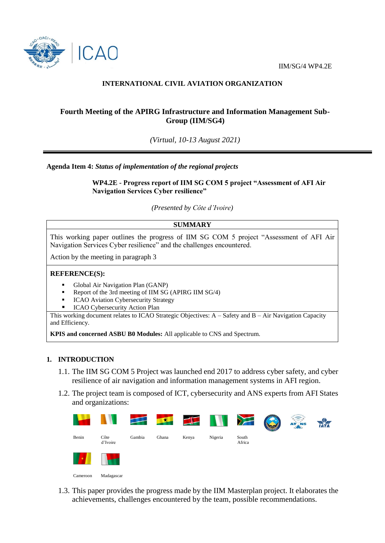IIM/SG/4 WP4.2E



# **INTERNATIONAL CIVIL AVIATION ORGANIZATION**

# **Fourth Meeting of the APIRG Infrastructure and Information Management Sub-Group (IIM/SG4)**

*(Virtual, 10-13 August 2021)*

#### **Agenda Item 4:** *Status of implementation of the regional projects*

**WP4.2E - Progress report of IIM SG COM 5 project "Assessment of AFI Air Navigation Services Cyber resilience"**

*(Presented by Côte d'Ivoire)*

## **SUMMARY**

This working paper outlines the progress of IIM SG COM 5 project "Assessment of AFI Air Navigation Services Cyber resilience" and the challenges encountered.

Action by the meeting in paragraph 3

#### **REFERENCE(S):**

- Global Air Navigation Plan (GANP)
- Report of the 3rd meeting of IIM SG (APIRG IIM SG/4)
- ICAO Aviation Cybersecurity Strategy
- ICAO Cybersecurity Action Plan

This working document relates to ICAO Strategic Objectives: A – Safety and B – Air Navigation Capacity and Efficiency.

**KPIS and concerned ASBU B0 Modules:** All applicable to CNS and Spectrum.

#### **1. INTRODUCTION**

- 1.1. The IIM SG COM 5 Project was launched end 2017 to address cyber safety, and cyber resilience of air navigation and information management systems in AFI region.
- 1.2. The project team is composed of ICT, cybersecurity and ANS experts from AFI States and organizations:

| <b>Contract</b> | <b>TANK</b>      | F      | $\mathbf{K}$ |       | <b>IN YES</b> |                 | <b>AT NS</b> | <b>TATA</b> |
|-----------------|------------------|--------|--------------|-------|---------------|-----------------|--------------|-------------|
| Benin           | Côte<br>d'Ivoire | Gambia | Ghana        | Kenya | Nigeria       | South<br>Africa |              |             |
| IJ              |                  |        |              |       |               |                 |              |             |

Cameroon Madagascar

1.3. This paper provides the progress made by the IIM Masterplan project. It elaborates the achievements, challenges encountered by the team, possible recommendations.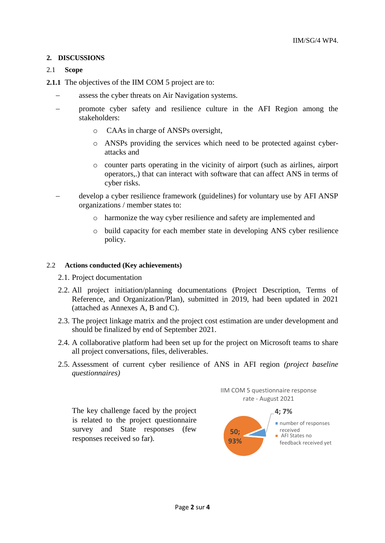## **2. DISCUSSIONS**

### 2.1 **Scope**

**2.1.1** The objectives of the IIM COM 5 project are to:

- assess the cyber threats on Air Navigation systems.
- promote cyber safety and resilience culture in the AFI Region among the stakeholders:
	- o CAAs in charge of ANSPs oversight,
	- o ANSPs providing the services which need to be protected against cyberattacks and
	- o counter parts operating in the vicinity of airport (such as airlines, airport operators,.) that can interact with software that can affect ANS in terms of cyber risks.
- develop a cyber resilience framework (guidelines) for voluntary use by AFI ANSP organizations / member states to:
	- o harmonize the way cyber resilience and safety are implemented and
	- o build capacity for each member state in developing ANS cyber resilience policy.

#### 2.2 **Actions conducted (Key achievements)**

- 2.1. Project documentation
- 2.2. All project initiation/planning documentations (Project Description, Terms of Reference, and Organization/Plan), submitted in 2019, had been updated in 2021 (attached as Annexes A, B and C).
- 2.3. The project linkage matrix and the project cost estimation are under development and should be finalized by end of September 2021.
- 2.4. A collaborative platform had been set up for the project on Microsoft teams to share all project conversations, files, deliverables.
- 2.5. Assessment of current cyber resilience of ANS in AFI region *(project baseline questionnaires)*

The key challenge faced by the project is related to the project questionnaire survey and State responses (few responses received so far).



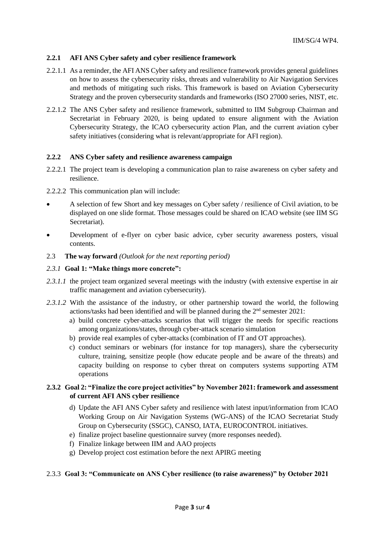### **2.2.1 AFI ANS Cyber safety and cyber resilience framework**

- 2.2.1.1 As a reminder, the AFI ANS Cyber safety and resilience framework provides general guidelines on how to assess the cybersecurity risks, threats and vulnerability to Air Navigation Services and methods of mitigating such risks. This framework is based on Aviation Cybersecurity Strategy and the proven cybersecurity standards and frameworks (ISO 27000 series, NIST, etc.
- 2.2.1.2 The ANS Cyber safety and resilience framework, submitted to IIM Subgroup Chairman and Secretariat in February 2020, is being updated to ensure alignment with the Aviation Cybersecurity Strategy, the ICAO cybersecurity action Plan, and the current aviation cyber safety initiatives (considering what is relevant/appropriate for AFI region).

#### **2.2.2 ANS Cyber safety and resilience awareness campaign**

- 2.2.2.1 The project team is developing a communication plan to raise awareness on cyber safety and resilience.
- 2.2.2.2 This communication plan will include:
- A selection of few Short and key messages on Cyber safety / resilience of Civil aviation, to be displayed on one slide format. Those messages could be shared on ICAO website (see IIM SG Secretariat).
- Development of e-flyer on cyber basic advice, cyber security awareness posters, visual contents.
- 2.3 **The way forward** *(Outlook for the next reporting period)*

#### *2.3.1* **Goal 1: "Make things more concrete":**

- 2.3.1.1 the project team organized several meetings with the industry (with extensive expertise in air traffic management and aviation cybersecurity).
- 2.3.1.2 With the assistance of the industry, or other partnership toward the world, the following actions/tasks had been identified and will be planned during the 2nd semester 2021:
	- a) build concrete cyber-attacks scenarios that will trigger the needs for specific reactions among organizations/states, through cyber-attack scenario simulation
	- b) provide real examples of cyber-attacks (combination of IT and OT approaches).
	- c) conduct seminars or webinars (for instance for top managers), share the cybersecurity culture, training, sensitize people (how educate people and be aware of the threats) and capacity building on response to cyber threat on computers systems supporting ATM operations

## **2.3.2 Goal 2: "Finalize the core project activities" by November 2021: framework and assessment of current AFI ANS cyber resilience**

- d) Update the AFI ANS Cyber safety and resilience with latest input/information from ICAO Working Group on Air Navigation Systems (WG-ANS) of the ICAO Secretariat Study Group on Cybersecurity (SSGC), CANSO, IATA, EUROCONTROL initiatives.
- e) finalize project baseline questionnaire survey (more responses needed).
- f) Finalize linkage between IIM and AAO projects
- g) Develop project cost estimation before the next APIRG meeting

#### 2.3.3 **Goal 3: "Communicate on ANS Cyber resilience (to raise awareness)" by October 2021**